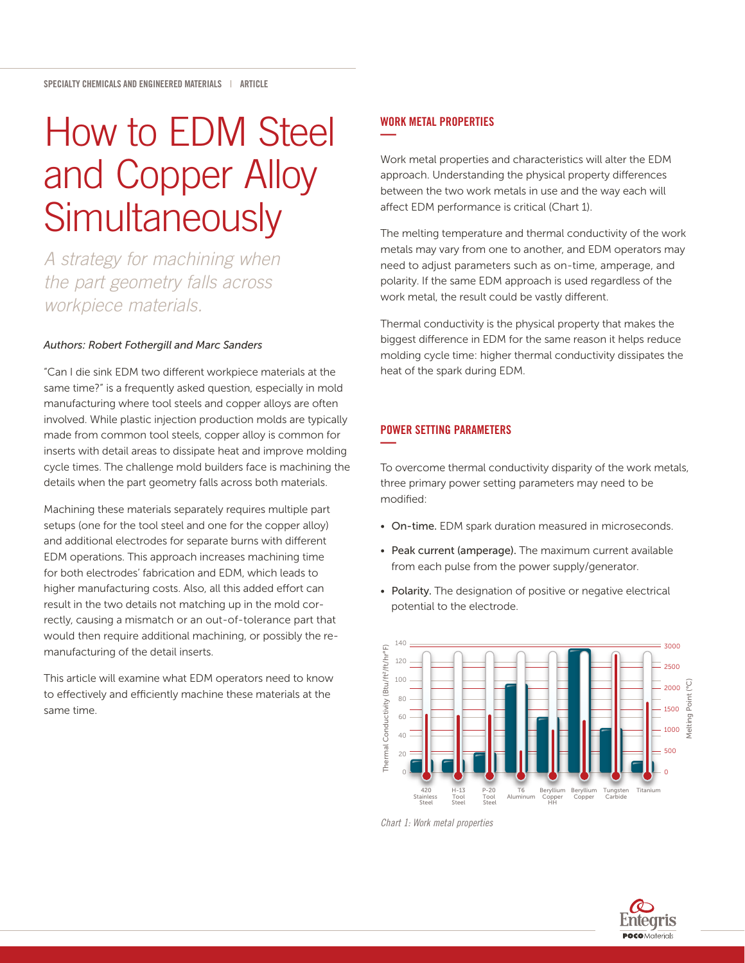# How to EDM Steel and Copper Alloy **Simultaneously**

*A strategy for machining when the part geometry falls across workpiece materials.*

#### *Authors: Robert Fothergill and Marc Sanders*

"Can I die sink EDM two different workpiece materials at the same time?" is a frequently asked question, especially in mold manufacturing where tool steels and copper alloys are often involved. While plastic injection production molds are typically made from common tool steels, copper alloy is common for inserts with detail areas to dissipate heat and improve molding cycle times. The challenge mold builders face is machining the details when the part geometry falls across both materials.

Machining these materials separately requires multiple part setups (one for the tool steel and one for the copper alloy) and additional electrodes for separate burns with different EDM operations. This approach increases machining time for both electrodes' fabrication and EDM, which leads to higher manufacturing costs. Also, all this added effort can result in the two details not matching up in the mold correctly, causing a mismatch or an out-of-tolerance part that would then require additional machining, or possibly the remanufacturing of the detail inserts.

This article will examine what EDM operators need to know to effectively and efficiently machine these materials at the same time.

# WORK METAL PROPERTIES **—**

Work metal properties and characteristics will alter the EDM approach. Understanding the physical property differences between the two work metals in use and the way each will affect EDM performance is critical (Chart 1).

The melting temperature and thermal conductivity of the work metals may vary from one to another, and EDM operators may need to adjust parameters such as on-time, amperage, and polarity. If the same EDM approach is used regardless of the work metal, the result could be vastly different.

Thermal conductivity is the physical property that makes the biggest difference in EDM for the same reason it helps reduce molding cycle time: higher thermal conductivity dissipates the heat of the spark during EDM.

## POWER SETTING PARAMETERS **—**

To overcome thermal conductivity disparity of the work metals, three primary power setting parameters may need to be modified:

- On-time. EDM spark duration measured in microseconds.
- Peak current (amperage). The maximum current available from each pulse from the power supply/generator.
- Polarity. The designation of positive or negative electrical potential to the electrode.



*Chart 1: Work metal properties* 

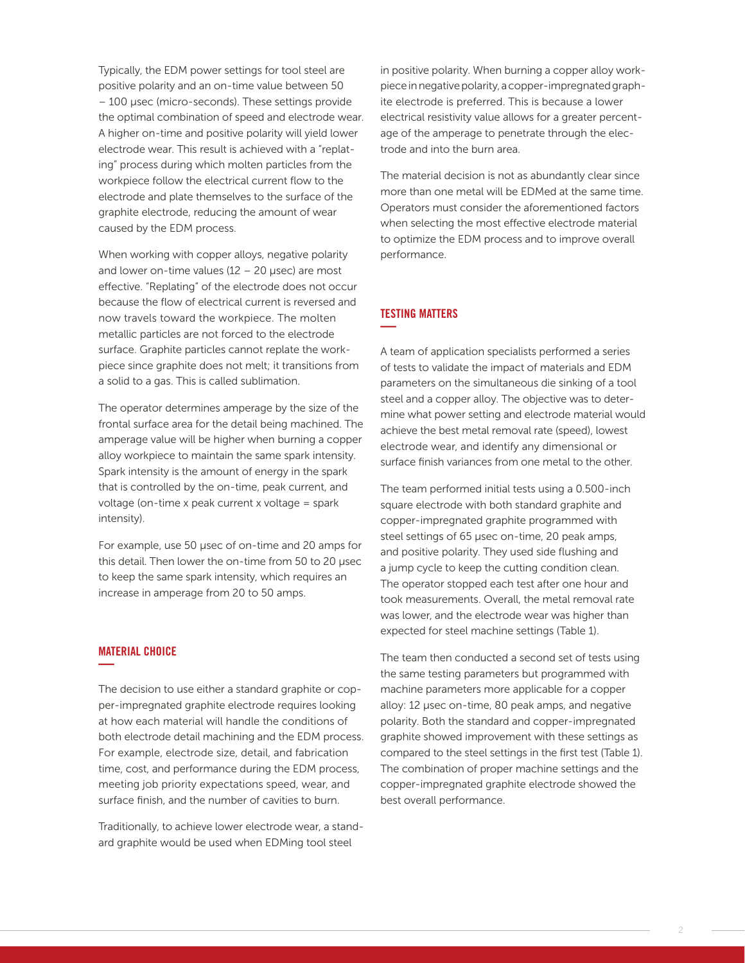Typically, the EDM power settings for tool steel are positive polarity and an on-time value between 50 – 100 µsec (micro-seconds). These settings provide the optimal combination of speed and electrode wear. A higher on-time and positive polarity will yield lower electrode wear. This result is achieved with a "replating" process during which molten particles from the workpiece follow the electrical current flow to the electrode and plate themselves to the surface of the graphite electrode, reducing the amount of wear caused by the EDM process.

When working with copper alloys, negative polarity and lower on-time values  $(12 - 20 \mu \text{sec})$  are most effective. "Replating" of the electrode does not occur because the flow of electrical current is reversed and now travels toward the workpiece. The molten metallic particles are not forced to the electrode surface. Graphite particles cannot replate the workpiece since graphite does not melt; it transitions from a solid to a gas. This is called sublimation.

The operator determines amperage by the size of the frontal surface area for the detail being machined. The amperage value will be higher when burning a copper alloy workpiece to maintain the same spark intensity. Spark intensity is the amount of energy in the spark that is controlled by the on-time, peak current, and voltage (on-time x peak current x voltage = spark intensity).

For example, use 50 µsec of on-time and 20 amps for this detail. Then lower the on-time from 50 to 20 µsec to keep the same spark intensity, which requires an increase in amperage from 20 to 50 amps.

## MATERIAL CHOICE **—**

The decision to use either a standard graphite or copper-impregnated graphite electrode requires looking at how each material will handle the conditions of both electrode detail machining and the EDM process. For example, electrode size, detail, and fabrication time, cost, and performance during the EDM process, meeting job priority expectations speed, wear, and surface finish, and the number of cavities to burn.

Traditionally, to achieve lower electrode wear, a standard graphite would be used when EDMing tool steel

in positive polarity. When burning a copper alloy workpiece in negative polarity, a copper-impregnated graphite electrode is preferred. This is because a lower electrical resistivity value allows for a greater percentage of the amperage to penetrate through the electrode and into the burn area.

The material decision is not as abundantly clear since more than one metal will be EDMed at the same time. Operators must consider the aforementioned factors when selecting the most effective electrode material to optimize the EDM process and to improve overall performance.

# TESTING MATTERS **—**

A team of application specialists performed a series of tests to validate the impact of materials and EDM parameters on the simultaneous die sinking of a tool steel and a copper alloy. The objective was to determine what power setting and electrode material would achieve the best metal removal rate (speed), lowest electrode wear, and identify any dimensional or surface finish variances from one metal to the other.

The team performed initial tests using a 0.500-inch square electrode with both standard graphite and copper-impregnated graphite programmed with steel settings of 65 µsec on-time, 20 peak amps, and positive polarity. They used side flushing and a jump cycle to keep the cutting condition clean. The operator stopped each test after one hour and took measurements. Overall, the metal removal rate was lower, and the electrode wear was higher than expected for steel machine settings (Table 1).

The team then conducted a second set of tests using the same testing parameters but programmed with machine parameters more applicable for a copper alloy: 12 µsec on-time, 80 peak amps, and negative polarity. Both the standard and copper-impregnated graphite showed improvement with these settings as compared to the steel settings in the first test (Table 1). The combination of proper machine settings and the copper-impregnated graphite electrode showed the best overall performance.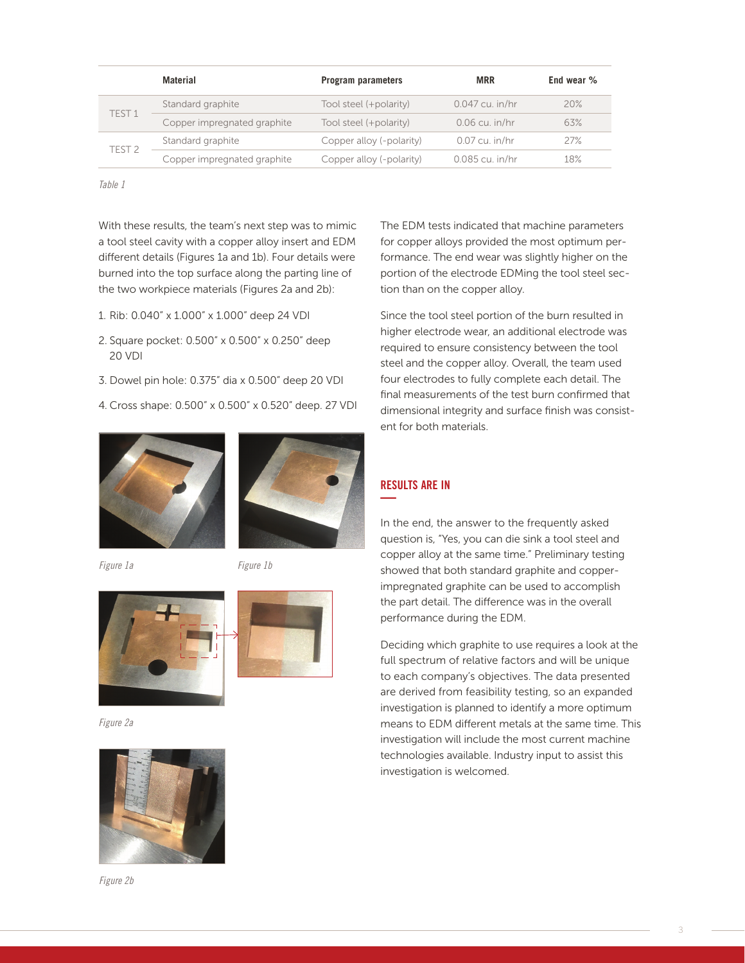|                   | Material                    | <b>Program parameters</b> | <b>MRR</b>        | End wear % |
|-------------------|-----------------------------|---------------------------|-------------------|------------|
| TFST <sub>1</sub> | Standard graphite           | Tool steel (+polarity)    | $0.047$ cu. in/hr | 20%        |
|                   | Copper impregnated graphite | Tool steel (+polarity)    | $0.06$ cu. in/hr  | 63%        |
| TFST <sub>2</sub> | Standard graphite           | Copper alloy (-polarity)  | $0.07$ cu. in/hr  | 27%        |
|                   | Copper impregnated graphite | Copper alloy (-polarity)  | 0.085 cu. in/hr   | 18%        |

*Table 1*

With these results, the team's next step was to mimic a tool steel cavity with a copper alloy insert and EDM different details (Figures 1a and 1b). Four details were burned into the top surface along the parting line of the two workpiece materials (Figures 2a and 2b):

- 1. Rib: 0.040" x 1.000" x 1.000" deep 24 VDI
- 2. Square pocket: 0.500" x 0.500" x 0.250" deep 20 VDI
- 3. Dowel pin hole: 0.375" dia x 0.500" deep 20 VDI
- 4. Cross shape: 0.500" x 0.500" x 0.520" deep. 27 VDI





*Figure 1a Figure 1b*



*Figure 2a*



*Figure 2b*

The EDM tests indicated that machine parameters for copper alloys provided the most optimum performance. The end wear was slightly higher on the portion of the electrode EDMing the tool steel section than on the copper alloy.

Since the tool steel portion of the burn resulted in higher electrode wear, an additional electrode was required to ensure consistency between the tool steel and the copper alloy. Overall, the team used four electrodes to fully complete each detail. The final measurements of the test burn confirmed that dimensional integrity and surface finish was consistent for both materials.

# RESULTS ARE IN **—**

In the end, the answer to the frequently asked question is, "Yes, you can die sink a tool steel and copper alloy at the same time." Preliminary testing showed that both standard graphite and copperimpregnated graphite can be used to accomplish the part detail. The difference was in the overall performance during the EDM.

Deciding which graphite to use requires a look at the full spectrum of relative factors and will be unique to each company's objectives. The data presented are derived from feasibility testing, so an expanded investigation is planned to identify a more optimum means to EDM different metals at the same time. This investigation will include the most current machine technologies available. Industry input to assist this investigation is welcomed.